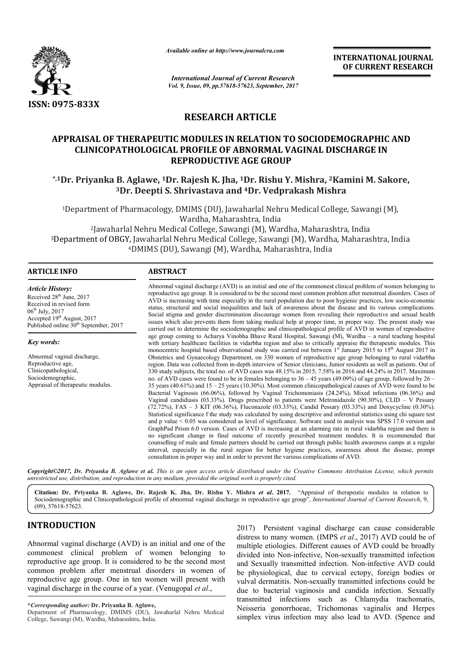

*Available online at http://www.journalcra.com*

*International Journal of Current Research Vol. 9, Issue, 09, pp.57618-57623, September, 2017* **INTERNATIONAL JOURNAL OF CURRENT RESEARCH**

## **RESEARCH ARTICLE**

# **APPRAISAL OF THERAPEUTIC MODULES IN RELATION TO SOCIODEMOGRAPHIC AND CLINICOPATHOLOGICAL PROFILE OF ABNORMAL VAGINAL DISCHARGE IN**  CLINICOPATHOLOGICAL PROFILE OF ABNORMAL VAGINAL DISCHARGE IN<br>REPRODUCTIVE AGE GROUP<br><sup>1</sup>Dr. Priyanka B. Aglawe, <sup>1</sup>Dr. Rajesh K. Jha, <sup>1</sup>Dr. Rishu Y. Mishra, <sup>2</sup>Kamini M. Sakore, **REPRODUCTIVE AGE GROUP**

# $^3$ Dr. Deepti S. Shrivastava and  $^4$ Dr. Vedprakash Mishra

<sup>1</sup>Department of Pharmacology, DMIMS (DU), Jawaharlal Nehru Medical College, Sawangi (M),<br>Wardha, Maharashtra, India 2Jawaharlal Nehru Medical College, Sawangi (M), Wardha, Maharashtra, India 3Department of OBGY, Jawaharlal Nehru Medical College, Sawangi (M), Wardha, Maharashtra, Jawaharlal Nehru Medical College, Sawangi (M), Wardha, Maharas<br>10 t of OBGY, Jawaharlal Nehru Medical College, Sawangi (M), Wardh<br>10 DMIMS (DU), Sawangi (M), Wardha, Maharashtra, India Nehru Medical College, Sawangi (M), Wardha, Maharashtra, India

4DMIMS (DU), Sawangi (M), Wardha, Maharashtra,

#### **ARTICLE INFO ABSTRACT**

*Article History:* Received 28<sup>th</sup> June, 2017 Received in revised form 06th July, 2017 Accepted 19<sup>th</sup> August, 2017 Published online  $30<sup>th</sup>$  September, 2017

*Key words:*

Abnormal vaginal discharge, Reproductive age, Clinicopathological, Sociodemographic, Appraisal of therapeutic modules.

Abnormal vaginal discharge (AVD) is an initial and one of the commonest clinical problem of women belonging to Abnormal vaginal discharge (AVD) is an initial and one of the commonest clinical problem of women belonging to<br>reproductive age group. It is considered to be the second most common problem after menstrual disorders. Cases AVD is increasing with time especially in the rural population due to poor hygienic practices, low socio-economic status, structural and social inequalities and lack of awareness about the disease and its various complications. Social stigma and gender discrimination discourage women from revealing their reproductive and sexual health issues which also prevents them from taking medical help at proper time, in proper way. The present study was carried out to determine the sociodemographic and clinicopathological profile of AVD in women of reproductive age group coming to Acharya Vinobha Bhave Rural Hospital, Sawangi (M), Wardha – a rural teaching hospital with tertiary healthcare facilities in vidarbha region and also to critically appraise the therapeutic modules. This monocentric hospital based observational study was carried out between  $1<sup>st</sup>$  January 2015 to  $15<sup>th</sup>$  August 2017 in Obstetrics and Gynaecology Department, on 330 women of reproductive age group belonging to rural vidarbha region. Data was collected from in-depth interview of Senior clinicians, Junior residents as well as patients. Out of 330 study subjects, the total no. of AVD cases was 48.15% in 2015; 7.58% in 2016 and 44.24% in 2017. Maximum no. of AVD cases were found to be in females belonging to  $36 - 45$  years (49.09%) of age group, followed by 26 35 years (40.61%) and 15 – 25 years (10.30%). Most common clinicopathological causes of AVD were found to be 35 years (40.61%) and  $15 - 25$  years (10.30%). Most common clinicopathological causes of AVD were found to be Bacterial Vaginosis (66.06%), followed by Vaginal Trichomoniasis (24.24%), Mixed infections (06.36%) and Vaginal candidiasis  $(03.33%)$ . Drugs prescribed to patients were Metronidazole  $(90.30%)$ , CLID – V Pessary (72.72%), FAS – 3 KIT (06.36%), Fluconazole (03.33%), Candid Pessary (03.33%) and Doxycycline (0.30%). Statistical significance f the study was calculated by using descriptive and inferential statistics using chi square test (72.72%), FAS – 3 KIT (06.36%), Fluconazole (03.33%), Candid Pessary (03.33%) and Doxycycline (0.30%). Statistical significance f the study was calculated by using descriptive and inferential statistics using chi square t GraphPad Prism 6.0 version. Cases of AVD is increasing at an alarming rate in rural vidarbha region and there is GraphPad Prism 6.0 version. Cases of AVD is increasing at an alarming rate in rural vidarbha region and there is<br>no significant change in final outcome of recently prescribed treatment modules. It is recommended that counselling of male and female partners should be carried out through public health awareness camps at a regular interval, especially in the rural region for better hygiene practices, awareness about the disease, prompt consultation in proper way and in order to prevent the various complications of AVD. consultation in proper way and in order to prevent the various complications of AVD. status, structural and social inequalities and lack of awareness about the disease and its various complications.<br>Social stigma and gender discrimination discourage women from revealing their reproductive and sexual health depth interview of Senior clinicians, Junior residents as well as patients. Out of AVD cases was  $48.15\%$  in 2015; 7.58% in 2016 and  $44.24\%$  in 2017. Maximum in females belonging to  $36 - 45$  years (49.09%) of age group

Copyright©2017, Dr. Priyanka B. Aglawe et al. This is an open access article distributed under the Creative Commons Attribution License, which permits unrestricted use, distribution, and reproduction in any medium, provided the original work is properly cited.

Citation: Dr. Priyanka B. Aglawe, Dr. Rajesh K. Jha, Dr. Rishu Y. Mishra et al. 2017. "Appraisal of therapeutic modules in relation to Sociodemographic and Clinicopathological profile of abnormal vaginal discharge in reproductive age group", *International Journal of Current Research*, 9, (09), 57618-57623.

### **INTRODUCTION**

Abnormal vaginal discharge (AVD) is an initial and one of the commonest clinical problem of women belonging to reproductive age group. It is considered to be the second most common problem after menstrual disorders in women of reproductive age group. One in ten women will present with vaginal discharge in the course of a year. (Venugopal *et al*.,

**\****Corresponding author:* **Dr. Priyanka B. Aglawe,**

2017) Persistent vaginal discharge can cause considerable distress to many women. (IMPS *et al.*, 2017) AVD could be of multiple etiologies. Different causes of AVD could be broadly multiple etiologies. Different causes of AVD could be broadly divided into Non-infective, Non-sexually transmitted infection and Sexually transmitted infection. Non Non-infective AVD could be physiological, due to cervical ectopy, foreign bodies or vulval dermatitis. Non-sexually transmitted infections could be due to bacterial vaginosis and candida infection. Sexually transmitted infections such as Chlamydia trachomatis, Neisseria gonorrhoeae, Trichomonas vaginalis and Herpes simplex virus infection may also lead to AVD. (Spence and expectively all the parameterial vaginosis and candida infection. Sexually infections such as Chlamydia trachomatis, a gonorrhoeae, Trichomonas vaginalis and Herpes virus infection may also lead to AVD. (Spence and

Department of Pharmacology, DMIMS (DU), Jawaharlal Nehru Medical College, Sawangi (M), Wardha, Maharashtra, India.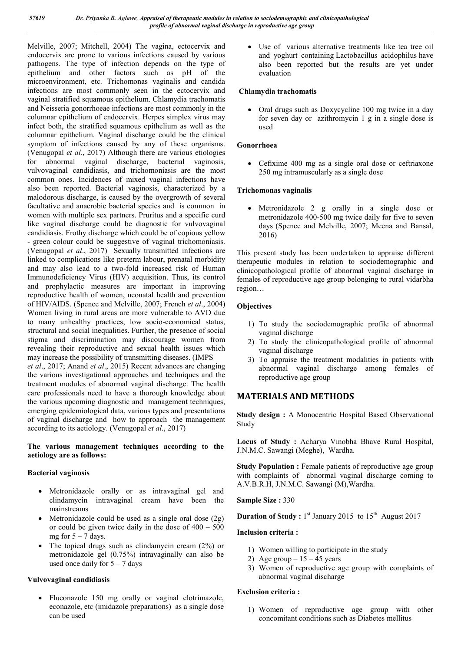Melville, 2007; Mitchell, 2004) The vagina, ectocervix and endocervix are prone to various infections caused by various pathogens. The type of infection depends on the type of epithelium and other factors such as pH of the microenvironment, etc. Trichomonas vaginalis and candida infections are most commonly seen in the ectocervix and vaginal stratified squamous epithelium. Chlamydia trachomatis and Neisseria gonorrhoeae infections are most commonly in the columnar epithelium of endocervix. Herpes simplex virus may infect both, the stratified squamous epithelium as well as the columnar epithelium. Vaginal discharge could be the clinical symptom of infections caused by any of these organisms. (Venugopal *et al*., 2017) Although there are various etiologies for abnormal vaginal discharge, bacterial vaginosis, vulvovaginal candidiasis, and trichomoniasis are the most common ones. Incidences of mixed vaginal infections have also been reported. Bacterial vaginosis, characterized by a malodorous discharge, is caused by the overgrowth of several facultative and anaerobic bacterial species and is common in women with multiple sex partners. Pruritus and a specific curd like vaginal discharge could be diagnostic for vulvovaginal candidiasis. Frothy discharge which could be of copious yellow - green colour could be suggestive of vaginal trichomoniasis. (Venugopal *et al*., 2017) Sexually transmitted infections are linked to complications like preterm labour, prenatal morbidity and may also lead to a two-fold increased risk of Human Immunodeficiency Virus (HIV) acquisition. Thus, its control and prophylactic measures are important in improving reproductive health of women, neonatal health and prevention of HIV/AIDS. (Spence and Melville, 2007; French *et al*., 2004) Women living in rural areas are more vulnerable to AVD due to many unhealthy practices, low socio-economical status, structural and social inequalities. Further, the presence of social stigma and discrimination may discourage women from revealing their reproductive and sexual health issues which may increase the possibility of transmitting diseases. (IMPS *et al*., 2017; Anand *et al*., 2015) Recent advances are changing the various investigational approaches and techniques and the treatment modules of abnormal vaginal discharge. The health care professionals need to have a thorough knowledge about

the various upcoming diagnostic and management techniques, emerging epidemiological data, various types and presentations of vaginal discharge and how to approach the management according to its aetiology. (Venugopal *et al*., 2017)

#### **The various management techniques according to the aetiology are as follows:**

#### **Bacterial vaginosis**

- Metronidazole orally or as intravaginal gel and clindamycin intravaginal cream have been the mainstreams
- Metronidazole could be used as a single oral dose  $(2g)$ or could be given twice daily in the dose of  $400 - 500$ mg for  $5 - 7$  days.
- The topical drugs such as clindamycin cream (2%) or metronidazole gel (0.75%) intravaginally can also be used once daily for  $5 - 7$  days

#### **Vulvovaginal candidiasis**

 Fluconazole 150 mg orally or vaginal clotrimazole, econazole, etc (imidazole preparations) as a single dose can be used

 Use of various alternative treatments like tea tree oil and yoghurt containing Lactobacillus acidophilus have also been reported but the results are yet under evaluation

#### **Chlamydia trachomatis**

 Oral drugs such as Doxycycline 100 mg twice in a day for seven day or azithromycin 1 g in a single dose is used

#### **Gonorrhoea**

 Cefixime 400 mg as a single oral dose or ceftriaxone 250 mg intramuscularly as a single dose

#### **Trichomonas vaginalis**

 Metronidazole 2 g orally in a single dose or metronidazole 400-500 mg twice daily for five to seven days (Spence and Melville, 2007; Meena and Bansal, 2016)

This present study has been undertaken to appraise different therapeutic modules in relation to sociodemographic and clinicopathological profile of abnormal vaginal discharge in females of reproductive age group belonging to rural vidarbha region…

#### **Objectives**

- 1) To study the sociodemographic profile of abnormal vaginal discharge
- 2) To study the clinicopathological profile of abnormal vaginal discharge
- 3) To appraise the treatment modalities in patients with abnormal vaginal discharge among females of reproductive age group

#### **MATERIALS AND METHODS**

**Study design :** A Monocentric Hospital Based Observational Study

**Locus of Study :** Acharya Vinobha Bhave Rural Hospital, J.N.M.C. Sawangi (Meghe), Wardha.

**Study Population :** Female patients of reproductive age group with complaints of abnormal vaginal discharge coming to A.V.B.R.H, J.N.M.C. Sawangi (M),Wardha.

**Sample Size :** 330

**Duration of Study :** 1<sup>st</sup> January 2015 to 15<sup>th</sup> August 2017

#### **Inclusion criteria :**

- 1) Women willing to participate in the study
- 2) Age group  $-15 45$  years
- 3) Women of reproductive age group with complaints of abnormal vaginal discharge

#### **Exclusion criteria :**

1) Women of reproductive age group with other concomitant conditions such as Diabetes mellitus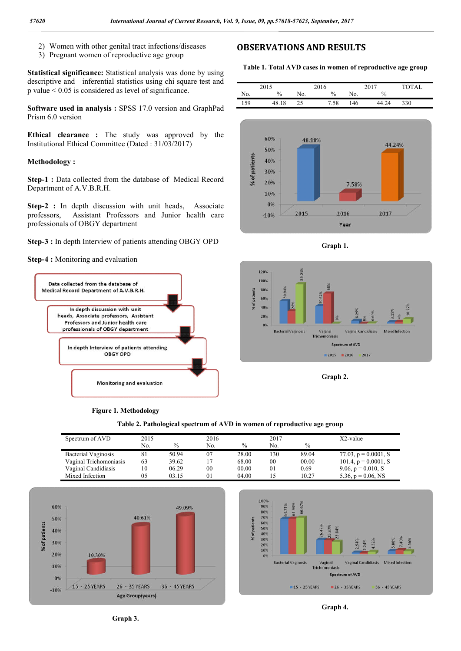- 2) Women with other genital tract infections/diseases
- 3) Pregnant women of reproductive age group

**Statistical significance:** Statistical analysis was done by using descriptive and inferential statistics using chi square test and p value < 0.05 is considered as level of significance.

**Software used in analysis :** SPSS 17.0 version and GraphPad Prism 6.0 version

**Ethical clearance :** The study was approved by the Institutional Ethical Committee (Dated : 31/03/2017)

#### **Methodology :**

**Step-1 :** Data collected from the database of Medical Record Department of A.V.B.R.H.

**Step-2**: In depth discussion with unit heads, Associate professors, Assistant Professors and Junior health care professionals of OBGY department

**Step-3 :** In depth Interview of patients attending OBGY OPD

#### **Step-4 :** Monitoring and evaluation







| Spectrum of AVD        | 2015 |       | 2016           |               | 2017 |       | $X2$ -value             |
|------------------------|------|-------|----------------|---------------|------|-------|-------------------------|
|                        | No.  | $\%$  | No.            | $\frac{0}{0}$ | No.  | $\%$  |                         |
| Bacterial Vaginosis    |      | 50.94 | 07             | 28.00         | 130  | 89.04 | 77.03, $p = 0.0001$ , S |
| Vaginal Trichomoniasis | 63   | 39.62 | 17             | 68.00         | 00   | 00.00 | 101.4, $p = 0.0001$ , S |
| Vaginal Candidiasis    | 10   | 06.29 | 00             | 00.00         | 01   | 0.69  | 9.06, $p = 0.010$ , S   |
| Mixed Infection        | 05   | 03.15 | 0 <sub>1</sub> | 04.00         |      | 10.27 | 5.36, $p = 0.06$ , NS   |







**Table 1. Total AVD cases in women of reproductive age group**

|     | 2015      |           | 2016 |     | 2017          | <b>TOTAL</b> |
|-----|-----------|-----------|------|-----|---------------|--------------|
| No. | $\%$      | No.       | $\%$ | No. | $\frac{0}{0}$ |              |
| 159 | 48.<br>18 | つく<br>ر ے | '.58 | 146 | 44<br>24      | 330          |







**Graph 2.**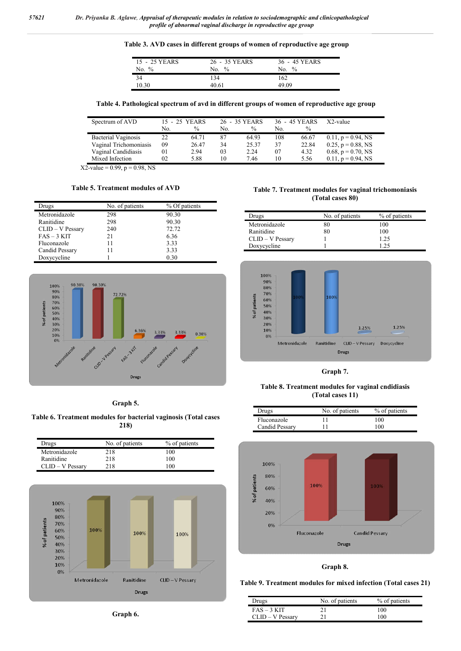**Table 3. AVD cases in different groups of women of reproductive age group**

| 15 - 25 YEARS<br>$\frac{0}{0}$<br>No. | 26 - 35 YEARS<br>$\frac{0}{0}$<br>No. | 36 - 45 YEARS<br>$\frac{0}{0}$<br>No. |
|---------------------------------------|---------------------------------------|---------------------------------------|
| 34                                    | 134                                   | 162                                   |
| 10.30                                 | 40.61                                 | 49 09                                 |

**Table 4. Pathological spectrum of avd in different groups of women of reproductive age group**

| Spectrum of AVD        |     | 15 - 25 YEARS |     | 26 - 35 YEARS |     | 36 - 45 YEARS | X2-value                 |
|------------------------|-----|---------------|-----|---------------|-----|---------------|--------------------------|
|                        | No. | $\frac{0}{0}$ | No. | $\%$          | No. | $\frac{0}{0}$ |                          |
| Bacterial Vaginosis    | 22. | 64.71         | 87  | 64.93         | 108 | 66.67         | $0.11, p = 0.94, NS$     |
| Vaginal Trichomoniasis | 09  | 26.47         | 34  | 25.37         | 37  | 22.84         | $0.25$ , $p = 0.88$ , NS |
| Vaginal Candidiasis    | 01  | 2.94          | 03  | 2.24          | 07  | 4.32          | 0.68, $p = 0.70$ , NS    |
| Mixed Infection        | 02  | 5.88          | 10  | 7.46          | 10  | 5.56          | $0.11, p = 0.94, NS$     |

 $X2$ -value = 0.99, p = 0.98, NS

#### **Table 5. Treatment modules of AVD**

| Drugs            | No. of patients | % Of patients |
|------------------|-----------------|---------------|
| Metronidazole    | 298             | 90.30         |
| Ranitidine       | 298             | 90.30         |
| CLID - V Pessary | 240             | 72.72         |
| $FAS - 3 KIT$    | 21              | 6.36          |
| Fluconazole      | 11              | 3.33          |
| Candid Pessary   | 11              | 3.33          |
| Doxycycline      |                 | 0.30          |



#### **Table 7. Treatment modules for vaginal trichomoniasis (Total cases 80)**

| Drugs              | No. of patients | % of patients |
|--------------------|-----------------|---------------|
| Metronidazole      | 80              | 100           |
| Ranitidine         | 80              | 100           |
| $CLID - V$ Pessary |                 | 1.25          |
| Doxycycline        |                 | 125           |



**Graph 7.**

**Table 8. Treatment modules for vaginal cndidiasis (Total cases 11)**

| Drugs          | No. of patients | % of patients |
|----------------|-----------------|---------------|
| Fluconazole    |                 | 100           |
| Candid Pessary |                 | 100           |



**Graph 8.**

#### **Table 9. Treatment modules for mixed infection (Total cases 21)**

| Drugs              | No. of patients | % of patients |
|--------------------|-----------------|---------------|
| $FAS - 3 KIT$      | 21              | 100           |
| $CLID - V$ Pessary | 21              | 100           |

**Graph 5.**

#### **Table 6. Treatment modules for bacterial vaginosis (Total cases 218)**

| Drugs              | No. of patients | % of patients |
|--------------------|-----------------|---------------|
| Metronidazole      | 218             | 100           |
| Ranitidine         | 218             | 100           |
| $CLID - V$ Pessary | 218             | 100           |



**Graph 6.**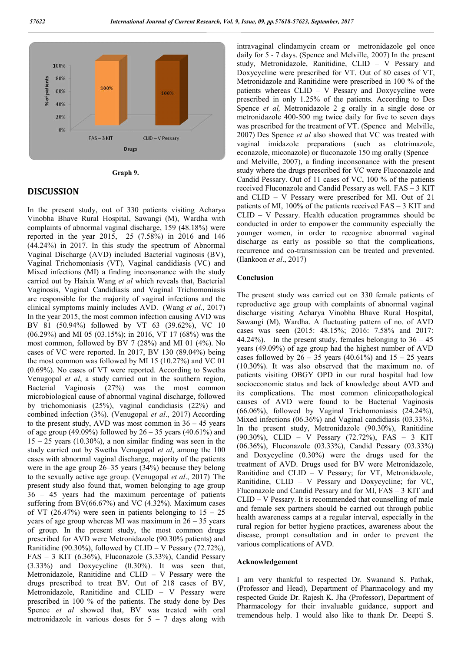

**Graph 9.**

#### **DISCUSSION**

In the present study, out of 330 patients visiting Acharya Vinobha Bhave Rural Hospital, Sawangi (M), Wardha with complaints of abnormal vaginal discharge, 159 (48.18%) were reported in the year 2015, 25 (7.58%) in 2016 and 146 (44.24%) in 2017. In this study the spectrum of Abnormal Vaginal Discharge (AVD) included Bacterial vaginosis (BV), Vaginal Trichomoniasis (VT), Vaginal candidiasis (VC) and Mixed infections (MI) a finding inconsonance with the study carried out by Haixia Wang *et al* which reveals that, Bacterial Vaginosis, Vaginal Candidiasis and Vaginal Trichomoniasis are responsible for the majority of vaginal infections and the clinical symptoms mainly includes AVD. (Wang *et al*., 2017) In the year 2015, the most common infection causing AVD was BV 81 (50.94%) followed by VT 63 (39.62%), VC 10 (06.29%) and MI 05 (03.15%); in 2016, VT 17 (68%) was the most common, followed by BV 7 (28%) and MI 01 (4%). No cases of VC were reported. In 2017, BV 130 (89.04%) being the most common was followed by MI 15 (10.27%) and VC 01 (0.69%). No cases of VT were reported. According to Swetha Venugopal *et al*, a study carried out in the southern region, Bacterial Vaginosis (27%) was the most common microbiological cause of abnormal vaginal discharge, followed by trichomoniasis (25%), vaginal candidiasis (22%) and combined infection (3%). (Venugopal *et al*., 2017) According to the present study, AVD was most common in  $36 - 45$  years of age group (49.09%) followed by  $26 - 35$  years (40.61%) and  $15 - 25$  years (10.30%), a non similar finding was seen in the study carried out by Swetha Venugopal *et al*, among the 100 cases with abnormal vaginal discharge, majority of the patients were in the age group 26–35 years (34%) because they belong to the sexually active age group. (Venugopal *et al*., 2017) The present study also found that, women belonging to age group 36 – 45 years had the maximum percentage of patients suffering from BV(66.67%) and VC (4.32%). Maximum cases of VT  $(26.47%)$  were seen in patients belonging to  $15 - 25$ years of age group whereas MI was maximum in  $26 - 35$  years of group. In the present study, the most common drugs prescribed for AVD were Metronidazole (90.30% patients) and Ranitidine (90.30%), followed by CLID – V Pessary (72.72%), FAS – 3 KIT (6.36%), Fluconazole (3.33%), Candid Pessary (3.33%) and Doxycycline (0.30%). It was seen that, Metronidazole, Ranitidine and CLID – V Pessary were the drugs prescribed to treat BV. Out of 218 cases of BV, Metronidazole, Ranitidine and CLID – V Pessary were prescribed in 100 % of the patients. The study done by Des Spence *et al* showed that, BV was treated with oral metronidazole in various doses for  $5 - 7$  days along with

intravaginal clindamycin cream or metronidazole gel once daily for 5 - 7 days. (Spence and Melville, 2007) In the present study, Metronidazole, Ranitidine, CLID – V Pessary and Doxycycline were prescribed for VT. Out of 80 cases of VT, Metronidazole and Ranitidine were prescribed in 100 % of the patients whereas CLID – V Pessary and Doxycycline were prescribed in only 1.25% of the patients. According to Des Spence *et al,* Metronidazole 2 g orally in a single dose or metronidazole 400-500 mg twice daily for five to seven days was prescribed for the treatment of VT. (Spence and Melville, 2007) Des Spence *et al* also showed that VC was treated with vaginal imidazole preparations (such as clotrimazole, econazole, miconazole) or fluconazole 150 mg orally (Spence and Melville, 2007), a finding inconsonance with the present study where the drugs prescribed for VC were Fluconazole and Candid Pessary. Out of 11 cases of VC, 100 % of the patients received Fluconazole and Candid Pessary as well. FAS – 3 KIT and CLID – V Pessary were prescribed for MI. Out of 21 patients of MI, 100% of the patients received FAS – 3 KIT and CLID – V Pessary. Health education programmes should be conducted in order to empower the community especially the younger women, in order to recognize abnormal vaginal discharge as early as possible so that the complications, recurrence and co-transmission can be treated and prevented. (Ilankoon *et al*., 2017)

#### **Conclusion**

The present study was carried out on 330 female patients of reproductive age group with complaints of abnormal vaginal discharge visiting Acharya Vinobha Bhave Rural Hospital, Sawangi (M), Wardha. A fluctuating pattern of no. of AVD cases was seen (2015: 48.15%; 2016: 7.58% and 2017: 44.24%). In the present study, females belonging to  $36 - 45$ years (49.09%) of age group had the highest number of AVD cases followed by  $26 - 35$  years (40.61%) and  $15 - 25$  years (10.30%). It was also observed that the maximum no. of patients visiting OBGY OPD in our rural hospital had low socioeconomic status and lack of knowledge about AVD and its complications. The most common clinicopathological causes of AVD were found to be Bacterial Vaginosis (66.06%), followed by Vaginal Trichomoniasis (24.24%), Mixed infections (06.36%) and Vaginal candidiasis (03.33%). In the present study, Metronidazole (90.30%), Ranitidine (90.30%), CLID – V Pessary (72.72%), FAS – 3 KIT (06.36%), Fluconazole (03.33%), Candid Pessary (03.33%) and Doxycycline (0.30%) were the drugs used for the treatment of AVD. Drugs used for BV were Metronidazole, Ranitidine and CLID – V Pessary; for VT, Metronidazole, Ranitidine, CLID – V Pessary and Doxycycline; for VC, Fluconazole and Candid Pessary and for MI, FAS – 3 KIT and CLID – V Pessary. It is recommended that counselling of male and female sex partners should be carried out through public health awareness camps at a regular interval, especially in the rural region for better hygiene practices, awareness about the disease, prompt consultation and in order to prevent the various complications of AVD.

#### **Acknowledgement**

I am very thankful to respected Dr. Swanand S. Pathak, (Professor and Head), Department of Pharmacology and my respected Guide Dr. Rajesh K. Jha (Professor), Department of Pharmacology for their invaluable guidance, support and tremendous help. I would also like to thank Dr. Deepti S.